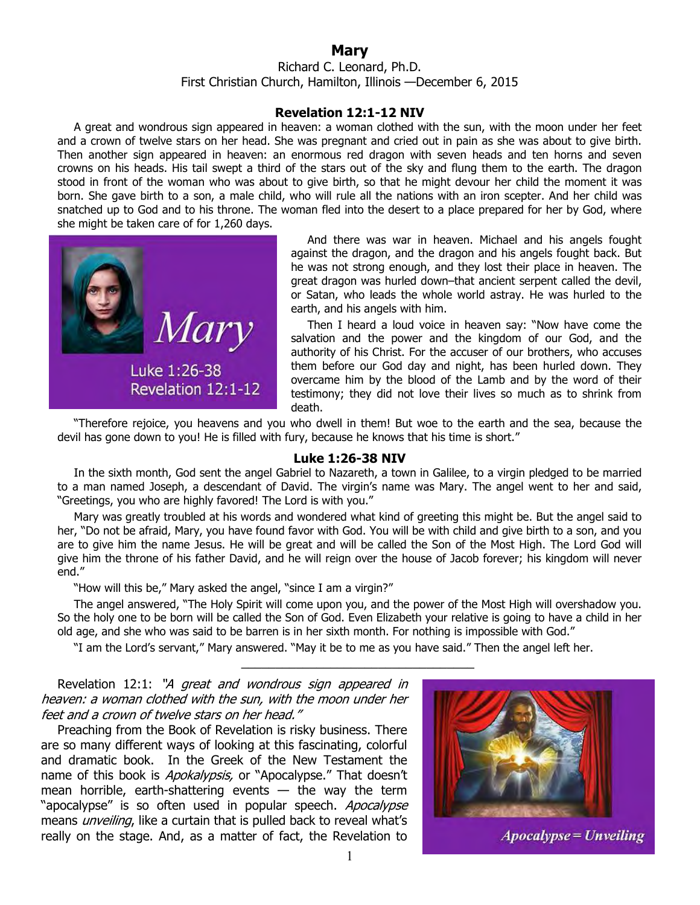## **Mary**

Richard C. Leonard, Ph.D. First Christian Church, Hamilton, Illinois —December 6, 2015

## **Revelation 12:1-12 NIV**

A great and wondrous sign appeared in heaven: a woman clothed with the sun, with the moon under her feet and a crown of twelve stars on her head. She was pregnant and cried out in pain as she was about to give birth. Then another sign appeared in heaven: an enormous red dragon with seven heads and ten horns and seven crowns on his heads. His tail swept a third of the stars out of the sky and flung them to the earth. The dragon stood in front of the woman who was about to give birth, so that he might devour her child the moment it was born. She gave birth to a son, a male child, who will rule all the nations with an iron scepter. And her child was snatched up to God and to his throne. The woman fled into the desert to a place prepared for her by God, where she might be taken care of for 1,260 days.



And there was war in heaven. Michael and his angels fought against the dragon, and the dragon and his angels fought back. But he was not strong enough, and they lost their place in heaven. The great dragon was hurled down–that ancient serpent called the devil, or Satan, who leads the whole world astray. He was hurled to the earth, and his angels with him.

Then I heard a loud voice in heaven say: "Now have come the salvation and the power and the kingdom of our God, and the authority of his Christ. For the accuser of our brothers, who accuses them before our God day and night, has been hurled down. They overcame him by the blood of the Lamb and by the word of their testimony; they did not love their lives so much as to shrink from death.

"Therefore rejoice, you heavens and you who dwell in them! But woe to the earth and the sea, because the devil has gone down to you! He is filled with fury, because he knows that his time is short."

## **Luke 1:26-38 NIV**

In the sixth month, God sent the angel Gabriel to Nazareth, a town in Galilee, to a virgin pledged to be married to a man named Joseph, a descendant of David. The virgin's name was Mary. The angel went to her and said, "Greetings, you who are highly favored! The Lord is with you."

Mary was greatly troubled at his words and wondered what kind of greeting this might be. But the angel said to her, "Do not be afraid, Mary, you have found favor with God. You will be with child and give birth to a son, and you are to give him the name Jesus. He will be great and will be called the Son of the Most High. The Lord God will give him the throne of his father David, and he will reign over the house of Jacob forever; his kingdom will never end."

"How will this be," Mary asked the angel, "since I am a virgin?"

The angel answered, "The Holy Spirit will come upon you, and the power of the Most High will overshadow you. So the holy one to be born will be called the Son of God. Even Elizabeth your relative is going to have a child in her old age, and she who was said to be barren is in her sixth month. For nothing is impossible with God."

\_\_\_\_\_\_\_\_\_\_\_\_\_\_\_\_\_\_\_\_\_\_\_\_\_\_\_\_\_\_\_\_\_\_

"I am the Lord's servant," Mary answered. "May it be to me as you have said." Then the angel left her.

Revelation 12:1: "A great and wondrous sign appeared in heaven: a woman clothed with the sun, with the moon under her feet and a crown of twelve stars on her head."

Preaching from the Book of Revelation is risky business. There are so many different ways of looking at this fascinating, colorful and dramatic book. In the Greek of the New Testament the name of this book is *Apokalypsis*, or "Apocalypse." That doesn't mean horrible, earth-shattering events  $-$  the way the term "apocalypse" is so often used in popular speech. Apocalypse means *unveiling*, like a curtain that is pulled back to reveal what's really on the stage. And, as a matter of fact, the Revelation to

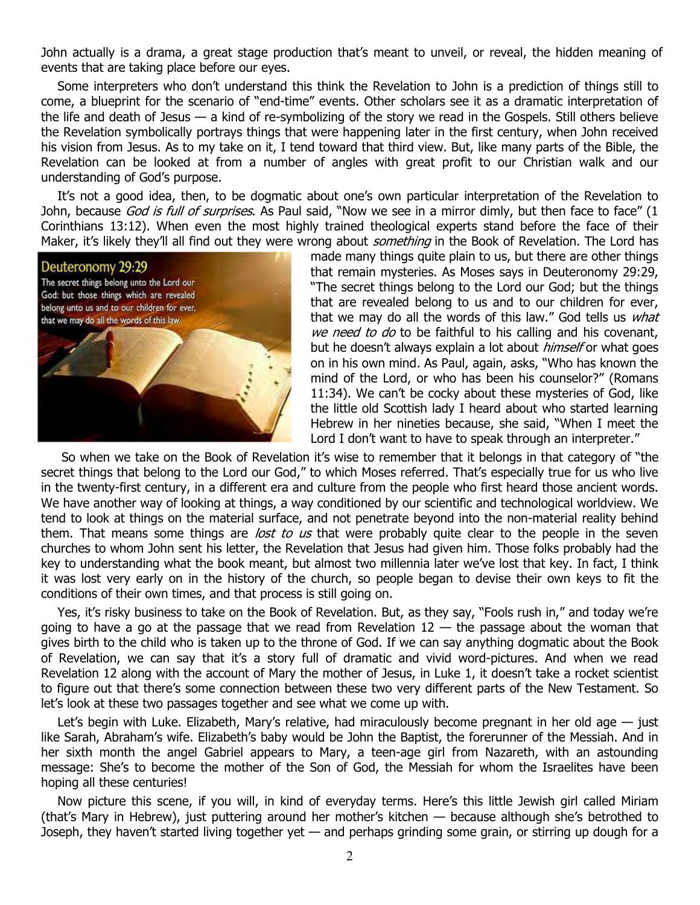John actually is a drama, a great stage production that's meant to unveil, or reveal, the hidden meaning of events that are taking place before our eyes.

Some interpreters who don't understand this think the Revelation to John is a prediction of things still to come, a blueprint for the scenario of "end-time" events. Other scholars see it as a dramatic interpretation of the life and death of Jesus — a kind of re-symbolizing of the story we read in the Gospels. Still others believe the Revelation symbolically portrays things that were happening later in the first century, when John received his vision from Jesus. As to my take on it, I tend toward that third view. But, like many parts of the Bible, the Revelation can be looked at from a number of angles with great profit to our Christian walk and our understanding of God's purpose.

It's not a good idea, then, to be dogmatic about one's own particular interpretation of the Revelation to John, because God is full of surprises. As Paul said, "Now we see in a mirror dimly, but then face to face" (1 Corinthians 13:12). When even the most highly trained theological experts stand before the face of their Maker, it's likely they'll all find out they were wrong about *something* in the Book of Revelation. The Lord has



made many things quite plain to us, but there are other things that remain mysteries. As Moses says in Deuteronomy 29:29, "The secret things belong to the Lord our God; but the things that are revealed belong to us and to our children for ever, that we may do all the words of this law." God tells us *what* we need to do to be faithful to his calling and his covenant, but he doesn't always explain a lot about *himself* or what goes on in his own mind. As Paul, again, asks, "Who has known the mind of the Lord, or who has been his counselor?" (Romans 11:34). We can't be cocky about these mysteries of God, like the little old Scottish lady I heard about who started learning Hebrew in her nineties because, she said, "When I meet the Lord I don't want to have to speak through an interpreter."

 So when we take on the Book of Revelation it's wise to remember that it belongs in that category of "the secret things that belong to the Lord our God," to which Moses referred. That's especially true for us who live in the twenty-first century, in a different era and culture from the people who first heard those ancient words. We have another way of looking at things, a way conditioned by our scientific and technological worldview. We tend to look at things on the material surface, and not penetrate beyond into the non-material reality behind them. That means some things are *lost to us* that were probably quite clear to the people in the seven churches to whom John sent his letter, the Revelation that Jesus had given him. Those folks probably had the key to understanding what the book meant, but almost two millennia later we've lost that key. In fact, I think it was lost very early on in the history of the church, so people began to devise their own keys to fit the conditions of their own times, and that process is still going on.

Yes, it's risky business to take on the Book of Revelation. But, as they say, "Fools rush in," and today we're going to have a go at the passage that we read from Revelation  $12 -$  the passage about the woman that gives birth to the child who is taken up to the throne of God. If we can say anything dogmatic about the Book of Revelation, we can say that it's a story full of dramatic and vivid word-pictures. And when we read Revelation 12 along with the account of Mary the mother of Jesus, in Luke 1, it doesn't take a rocket scientist to figure out that there's some connection between these two very different parts of the New Testament. So let's look at these two passages together and see what we come up with.

Let's begin with Luke. Elizabeth, Mary's relative, had miraculously become pregnant in her old age - just like Sarah, Abraham's wife. Elizabeth's baby would be John the Baptist, the forerunner of the Messiah. And in her sixth month the angel Gabriel appears to Mary, a teen-age girl from Nazareth, with an astounding message: She's to become the mother of the Son of God, the Messiah for whom the Israelites have been hoping all these centuries!

Now picture this scene, if you will, in kind of everyday terms. Here's this little Jewish girl called Miriam (that's Mary in Hebrew), just puttering around her mother's kitchen — because although she's betrothed to Joseph, they haven't started living together yet — and perhaps grinding some grain, or stirring up dough for a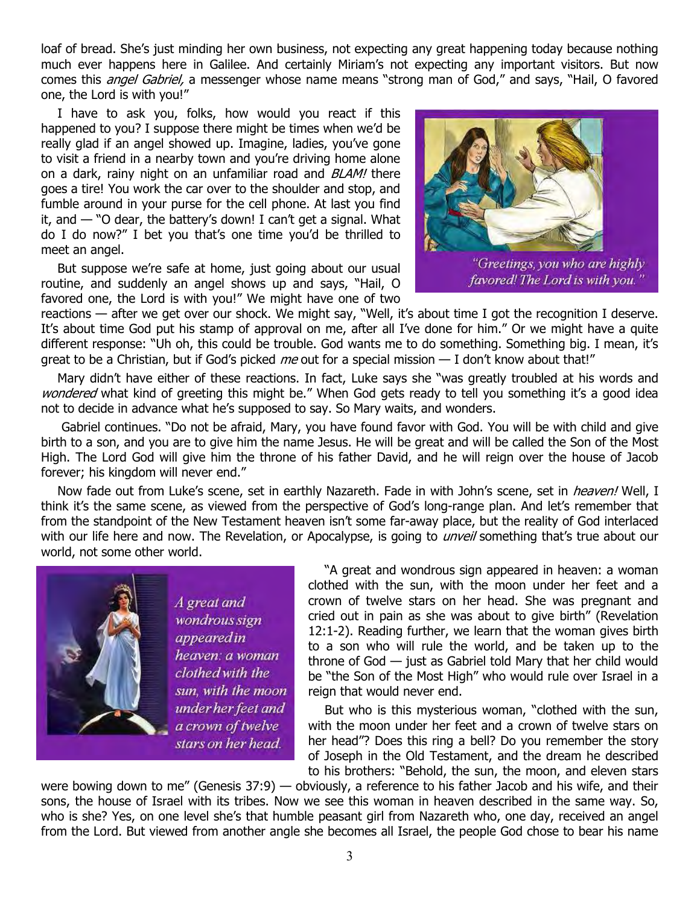loaf of bread. She's just minding her own business, not expecting any great happening today because nothing much ever happens here in Galilee. And certainly Miriam's not expecting any important visitors. But now comes this *angel Gabriel*, a messenger whose name means "strong man of God," and says, "Hail, O favored one, the Lord is with you!"

I have to ask you, folks, how would you react if this happened to you? I suppose there might be times when we'd be really glad if an angel showed up. Imagine, ladies, you've gone to visit a friend in a nearby town and you're driving home alone on a dark, rainy night on an unfamiliar road and BLAM! there goes a tire! You work the car over to the shoulder and stop, and fumble around in your purse for the cell phone. At last you find it, and — "O dear, the battery's down! I can't get a signal. What do I do now?" I bet you that's one time you'd be thrilled to meet an angel.

But suppose we're safe at home, just going about our usual routine, and suddenly an angel shows up and says, "Hail, O favored one, the Lord is with you!" We might have one of two



"Greetings, you who are highly favored! The Lord is with you."

reactions — after we get over our shock. We might say, "Well, it's about time I got the recognition I deserve. It's about time God put his stamp of approval on me, after all I've done for him." Or we might have a quite different response: "Uh oh, this could be trouble. God wants me to do something. Something big. I mean, it's great to be a Christian, but if God's picked me out for a special mission  $-$  I don't know about that!"

Mary didn't have either of these reactions. In fact, Luke says she "was greatly troubled at his words and wondered what kind of greeting this might be." When God gets ready to tell you something it's a good idea not to decide in advance what he's supposed to say. So Mary waits, and wonders.

 Gabriel continues. "Do not be afraid, Mary, you have found favor with God. You will be with child and give birth to a son, and you are to give him the name Jesus. He will be great and will be called the Son of the Most High. The Lord God will give him the throne of his father David, and he will reign over the house of Jacob forever; his kingdom will never end."

Now fade out from Luke's scene, set in earthly Nazareth. Fade in with John's scene, set in heaven! Well, I think it's the same scene, as viewed from the perspective of God's long-range plan. And let's remember that from the standpoint of the New Testament heaven isn't some far-away place, but the reality of God interlaced with our life here and now. The Revelation, or Apocalypse, is going to *unveil* something that's true about our world, not some other world.



A great and wondrous sign appeared in heaven: a woman clothed with the sun, with the moon under her feet and a crown of twelve stars on her head.

"A great and wondrous sign appeared in heaven: a woman clothed with the sun, with the moon under her feet and a crown of twelve stars on her head. She was pregnant and cried out in pain as she was about to give birth" (Revelation 12:1-2). Reading further, we learn that the woman gives birth to a son who will rule the world, and be taken up to the throne of God — just as Gabriel told Mary that her child would be "the Son of the Most High" who would rule over Israel in a reign that would never end.

But who is this mysterious woman, "clothed with the sun, with the moon under her feet and a crown of twelve stars on her head"? Does this ring a bell? Do you remember the story of Joseph in the Old Testament, and the dream he described to his brothers: "Behold, the sun, the moon, and eleven stars

were bowing down to me" (Genesis 37:9) — obviously, a reference to his father Jacob and his wife, and their sons, the house of Israel with its tribes. Now we see this woman in heaven described in the same way. So, who is she? Yes, on one level she's that humble peasant girl from Nazareth who, one day, received an angel from the Lord. But viewed from another angle she becomes all Israel, the people God chose to bear his name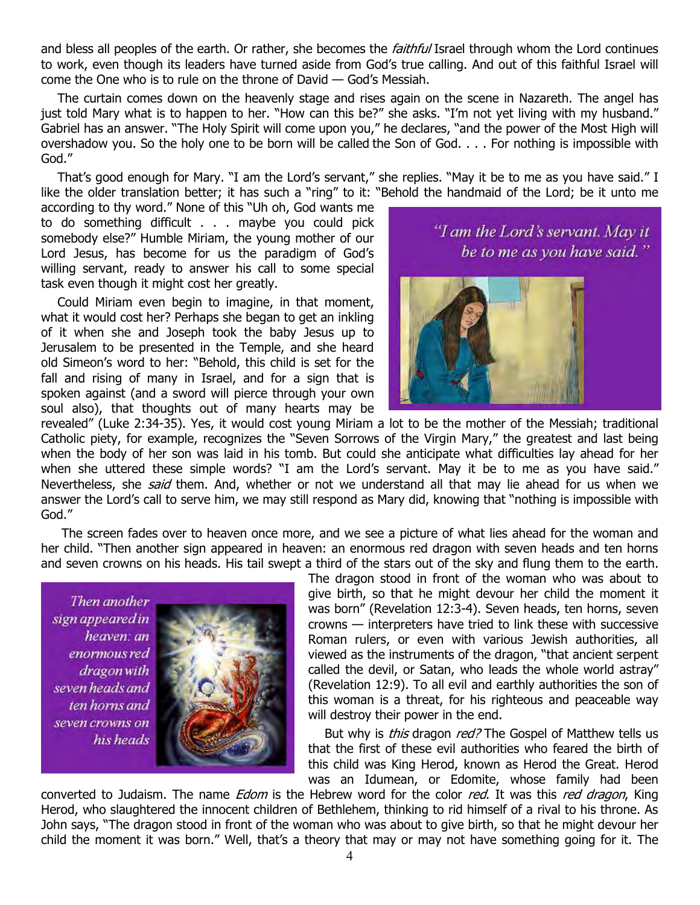and bless all peoples of the earth. Or rather, she becomes the *faithful* Israel through whom the Lord continues to work, even though its leaders have turned aside from God's true calling. And out of this faithful Israel will come the One who is to rule on the throne of David — God's Messiah.

The curtain comes down on the heavenly stage and rises again on the scene in Nazareth. The angel has just told Mary what is to happen to her. "How can this be?" she asks. "I'm not yet living with my husband." Gabriel has an answer. "The Holy Spirit will come upon you," he declares, "and the power of the Most High will overshadow you. So the holy one to be born will be called the Son of God. . . . For nothing is impossible with God."

That's good enough for Mary. "I am the Lord's servant," she replies. "May it be to me as you have said." I like the older translation better; it has such a "ring" to it: "Behold the handmaid of the Lord; be it unto me

according to thy word." None of this "Uh oh, God wants me to do something difficult . . . maybe you could pick somebody else?" Humble Miriam, the young mother of our Lord Jesus, has become for us the paradigm of God's willing servant, ready to answer his call to some special task even though it might cost her greatly.

Could Miriam even begin to imagine, in that moment, what it would cost her? Perhaps she began to get an inkling of it when she and Joseph took the baby Jesus up to Jerusalem to be presented in the Temple, and she heard old Simeon's word to her: "Behold, this child is set for the fall and rising of many in Israel, and for a sign that is spoken against (and a sword will pierce through your own soul also), that thoughts out of many hearts may be "I am the Lord's servant. May it be to me as you have said."



revealed" (Luke 2:34-35). Yes, it would cost young Miriam a lot to be the mother of the Messiah; traditional Catholic piety, for example, recognizes the "Seven Sorrows of the Virgin Mary," the greatest and last being when the body of her son was laid in his tomb. But could she anticipate what difficulties lay ahead for her when she uttered these simple words? "I am the Lord's servant. May it be to me as you have said." Nevertheless, she said them. And, whether or not we understand all that may lie ahead for us when we answer the Lord's call to serve him, we may still respond as Mary did, knowing that "nothing is impossible with God."

 The screen fades over to heaven once more, and we see a picture of what lies ahead for the woman and her child. "Then another sign appeared in heaven: an enormous red dragon with seven heads and ten horns and seven crowns on his heads. His tail swept a third of the stars out of the sky and flung them to the earth.

Then another sign appeared in heaven: an enormous red dragon with seven heads and ten horns and seven crowns on his heads



The dragon stood in front of the woman who was about to give birth, so that he might devour her child the moment it was born" (Revelation 12:3-4). Seven heads, ten horns, seven crowns — interpreters have tried to link these with successive Roman rulers, or even with various Jewish authorities, all viewed as the instruments of the dragon, "that ancient serpent called the devil, or Satan, who leads the whole world astray" (Revelation 12:9). To all evil and earthly authorities the son of this woman is a threat, for his righteous and peaceable way will destroy their power in the end.

But why is *this* dragon *red?* The Gospel of Matthew tells us that the first of these evil authorities who feared the birth of this child was King Herod, known as Herod the Great. Herod was an Idumean, or Edomite, whose family had been

converted to Judaism. The name *Edom* is the Hebrew word for the color *red*. It was this *red dragon*, King Herod, who slaughtered the innocent children of Bethlehem, thinking to rid himself of a rival to his throne. As John says, "The dragon stood in front of the woman who was about to give birth, so that he might devour her child the moment it was born." Well, that's a theory that may or may not have something going for it. The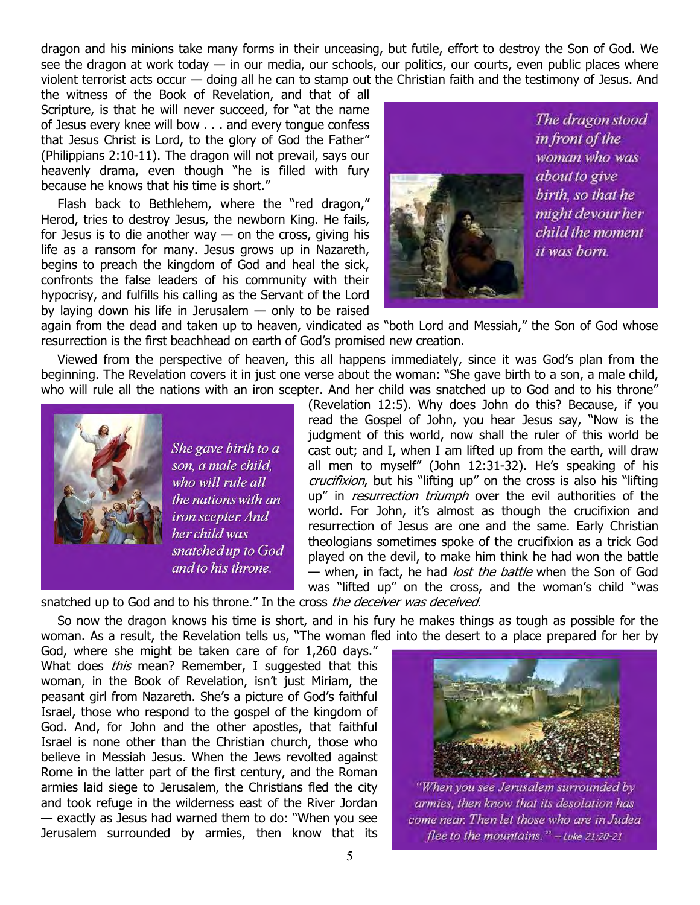dragon and his minions take many forms in their unceasing, but futile, effort to destroy the Son of God. We see the dragon at work today — in our media, our schools, our politics, our courts, even public places where violent terrorist acts occur — doing all he can to stamp out the Christian faith and the testimony of Jesus. And

the witness of the Book of Revelation, and that of all Scripture, is that he will never succeed, for "at the name of Jesus every knee will bow . . . and every tongue confess that Jesus Christ is Lord, to the glory of God the Father" (Philippians 2:10-11). The dragon will not prevail, says our heavenly drama, even though "he is filled with fury because he knows that his time is short."

Flash back to Bethlehem, where the "red dragon," Herod, tries to destroy Jesus, the newborn King. He fails, for Jesus is to die another way  $-$  on the cross, giving his life as a ransom for many. Jesus grows up in Nazareth, begins to preach the kingdom of God and heal the sick, confronts the false leaders of his community with their hypocrisy, and fulfills his calling as the Servant of the Lord by laying down his life in Jerusalem — only to be raised



again from the dead and taken up to heaven, vindicated as "both Lord and Messiah," the Son of God whose resurrection is the first beachhead on earth of God's promised new creation.

Viewed from the perspective of heaven, this all happens immediately, since it was God's plan from the beginning. The Revelation covers it in just one verse about the woman: "She gave birth to a son, a male child, who will rule all the nations with an iron scepter. And her child was snatched up to God and to his throne"



She gave birth to a son, a male child, who will rule all the nations with an iron scepter. And her child was snatched up to God and to his throne.

(Revelation 12:5). Why does John do this? Because, if you read the Gospel of John, you hear Jesus say, "Now is the judgment of this world, now shall the ruler of this world be cast out; and I, when I am lifted up from the earth, will draw all men to myself" (John 12:31-32). He's speaking of his crucifixion, but his "lifting up" on the cross is also his "lifting up" in resurrection triumph over the evil authorities of the world. For John, it's almost as though the crucifixion and resurrection of Jesus are one and the same. Early Christian theologians sometimes spoke of the crucifixion as a trick God played on the devil, to make him think he had won the battle — when, in fact, he had lost the battle when the Son of God was "lifted up" on the cross, and the woman's child "was

snatched up to God and to his throne." In the cross the deceiver was deceived.

So now the dragon knows his time is short, and in his fury he makes things as tough as possible for the woman. As a result, the Revelation tells us, "The woman fled into the desert to a place prepared for her by

God, where she might be taken care of for 1,260 days." What does *this* mean? Remember, I suggested that this woman, in the Book of Revelation, isn't just Miriam, the peasant girl from Nazareth. She's a picture of God's faithful Israel, those who respond to the gospel of the kingdom of God. And, for John and the other apostles, that faithful Israel is none other than the Christian church, those who believe in Messiah Jesus. When the Jews revolted against Rome in the latter part of the first century, and the Roman armies laid siege to Jerusalem, the Christians fled the city and took refuge in the wilderness east of the River Jordan — exactly as Jesus had warned them to do: "When you see Jerusalem surrounded by armies, then know that its



armies, then know that its desolation has come near. Then let those who are in Judea flee to the mountains." -- Luke 21:20-21